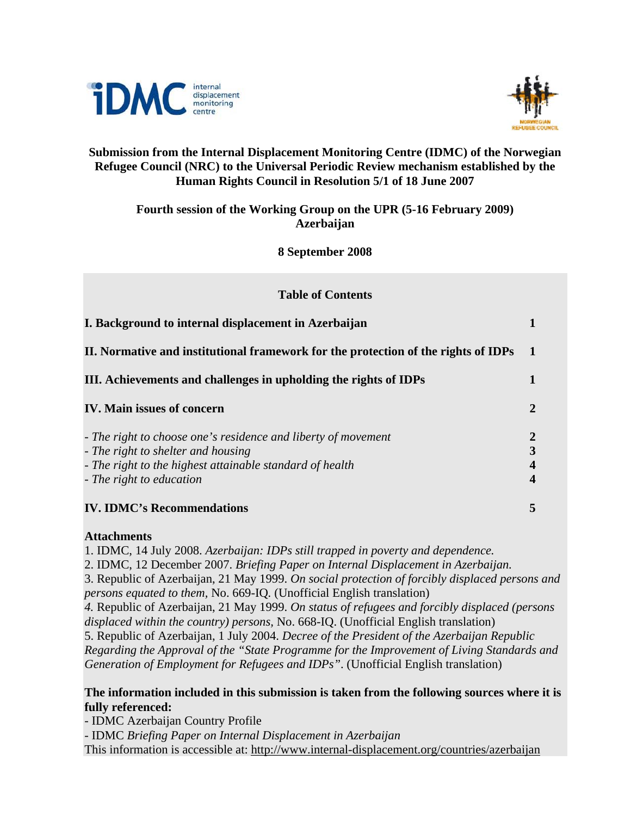



# **Submission from the Internal Displacement Monitoring Centre (IDMC) of the Norwegian Refugee Council (NRC) to the Universal Periodic Review mechanism established by the Human Rights Council in Resolution 5/1 of 18 June 2007**

# **Fourth session of the Working Group on the UPR (5-16 February 2009) Azerbaijan**

**8 September 2008** 

| <b>Table of Contents</b> |                                                                                                                                                                                             |                                                |  |
|--------------------------|---------------------------------------------------------------------------------------------------------------------------------------------------------------------------------------------|------------------------------------------------|--|
|                          | I. Background to internal displacement in Azerbaijan                                                                                                                                        |                                                |  |
|                          | II. Normative and institutional framework for the protection of the rights of IDPs                                                                                                          | $\mathbf 1$                                    |  |
|                          | III. Achievements and challenges in upholding the rights of IDPs                                                                                                                            |                                                |  |
|                          | <b>IV. Main issues of concern</b>                                                                                                                                                           | $\overline{2}$                                 |  |
|                          | - The right to choose one's residence and liberty of movement<br>- The right to shelter and housing<br>- The right to the highest attainable standard of health<br>- The right to education | $\boldsymbol{2}$<br>3<br>4<br>$\boldsymbol{4}$ |  |
|                          | <b>IV. IDMC's Recommendations</b>                                                                                                                                                           |                                                |  |

# **Attachments**

1. IDMC, 14 July 2008. *Azerbaijan: IDPs still trapped in poverty and dependence.* 

2. IDMC, 12 December 2007. *Briefing Paper on Internal Displacement in Azerbaijan.* 

3. Republic of Azerbaijan, 21 May 1999. *On social protection of forcibly displaced persons and persons equated to them,* No. 669-IQ*.* (Unofficial English translation)

*4.* Republic of Azerbaijan, 21 May 1999. *On status of refugees and forcibly displaced (persons displaced within the country) persons,* No. 668-IQ. (Unofficial English translation)

5. Republic of Azerbaijan, 1 July 2004. *Decree of the President of the Azerbaijan Republic* 

*Regarding the Approval of the "State Programme for the Improvement of Living Standards and Generation of Employment for Refugees and IDPs"*. (Unofficial English translation)

# **The information included in this submission is taken from the following sources where it is fully referenced:**

- IDMC Azerbaijan Country Profile

- IDMC *Briefing Paper on Internal Displacement in Azerbaijan* This information is accessible at: http://www.internal-displacement.org/countries/azerbaijan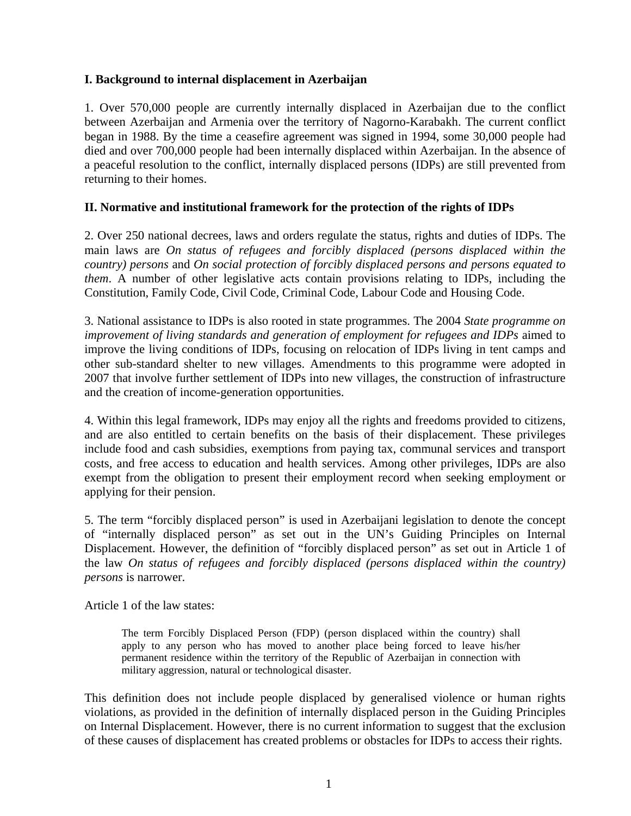## **I. Background to internal displacement in Azerbaijan**

1. Over 570,000 people are currently internally displaced in Azerbaijan due to the conflict between Azerbaijan and Armenia over the territory of Nagorno-Karabakh. The current conflict began in 1988. By the time a ceasefire agreement was signed in 1994, some 30,000 people had died and over 700,000 people had been internally displaced within Azerbaijan. In the absence of a peaceful resolution to the conflict, internally displaced persons (IDPs) are still prevented from returning to their homes.

### **II. Normative and institutional framework for the protection of the rights of IDPs**

2. Over 250 national decrees, laws and orders regulate the status, rights and duties of IDPs. The main laws are *On status of refugees and forcibly displaced (persons displaced within the country) persons* and *On social protection of forcibly displaced persons and persons equated to them*. A number of other legislative acts contain provisions relating to IDPs, including the Constitution, Family Code, Civil Code, Criminal Code, Labour Code and Housing Code.

3. National assistance to IDPs is also rooted in state programmes. The 2004 *State programme on improvement of living standards and generation of employment for refugees and IDPs* aimed to improve the living conditions of IDPs, focusing on relocation of IDPs living in tent camps and other sub-standard shelter to new villages. Amendments to this programme were adopted in 2007 that involve further settlement of IDPs into new villages, the construction of infrastructure and the creation of income-generation opportunities.

4. Within this legal framework, IDPs may enjoy all the rights and freedoms provided to citizens, and are also entitled to certain benefits on the basis of their displacement. These privileges include food and cash subsidies, exemptions from paying tax, communal services and transport costs, and free access to education and health services. Among other privileges, IDPs are also exempt from the obligation to present their employment record when seeking employment or applying for their pension.

5. The term "forcibly displaced person" is used in Azerbaijani legislation to denote the concept of "internally displaced person" as set out in the UN's Guiding Principles on Internal Displacement. However, the definition of "forcibly displaced person" as set out in Article 1 of the law *On status of refugees and forcibly displaced (persons displaced within the country) persons* is narrower.

Article 1 of the law states:

The term Forcibly Displaced Person (FDP) (person displaced within the country) shall apply to any person who has moved to another place being forced to leave his/her permanent residence within the territory of the Republic of Azerbaijan in connection with military aggression, natural or technological disaster.

This definition does not include people displaced by generalised violence or human rights violations, as provided in the definition of internally displaced person in the Guiding Principles on Internal Displacement. However, there is no current information to suggest that the exclusion of these causes of displacement has created problems or obstacles for IDPs to access their rights.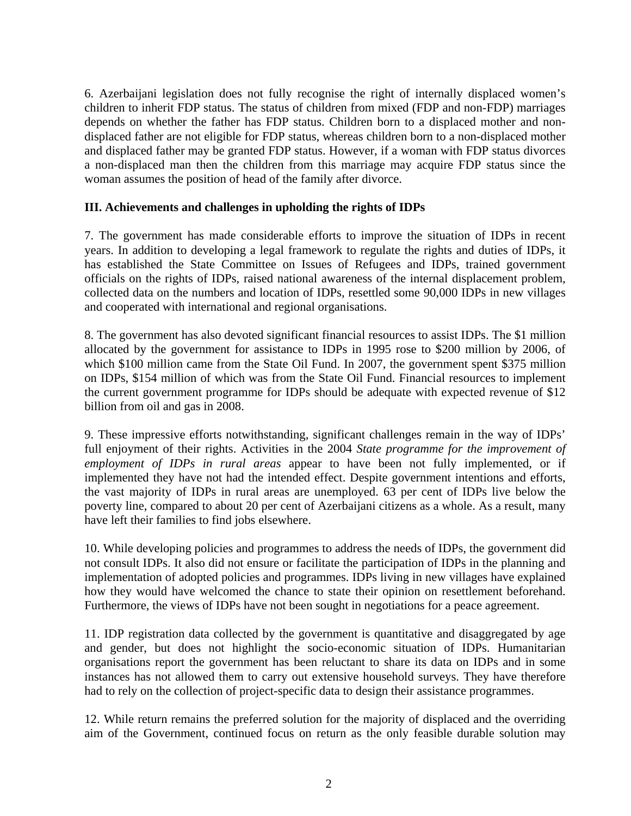6. Azerbaijani legislation does not fully recognise the right of internally displaced women's children to inherit FDP status. The status of children from mixed (FDP and non-FDP) marriages depends on whether the father has FDP status. Children born to a displaced mother and nondisplaced father are not eligible for FDP status, whereas children born to a non-displaced mother and displaced father may be granted FDP status. However, if a woman with FDP status divorces a non-displaced man then the children from this marriage may acquire FDP status since the woman assumes the position of head of the family after divorce.

### **III. Achievements and challenges in upholding the rights of IDPs**

7. The government has made considerable efforts to improve the situation of IDPs in recent years. In addition to developing a legal framework to regulate the rights and duties of IDPs, it has established the State Committee on Issues of Refugees and IDPs, trained government officials on the rights of IDPs, raised national awareness of the internal displacement problem, collected data on the numbers and location of IDPs, resettled some 90,000 IDPs in new villages and cooperated with international and regional organisations.

8. The government has also devoted significant financial resources to assist IDPs. The \$1 million allocated by the government for assistance to IDPs in 1995 rose to \$200 million by 2006, of which \$100 million came from the State Oil Fund. In 2007, the government spent \$375 million on IDPs, \$154 million of which was from the State Oil Fund. Financial resources to implement the current government programme for IDPs should be adequate with expected revenue of \$12 billion from oil and gas in 2008.

9. These impressive efforts notwithstanding, significant challenges remain in the way of IDPs' full enjoyment of their rights. Activities in the 2004 *State programme for the improvement of employment of IDPs in rural areas* appear to have been not fully implemented, or if implemented they have not had the intended effect. Despite government intentions and efforts, the vast majority of IDPs in rural areas are unemployed. 63 per cent of IDPs live below the poverty line, compared to about 20 per cent of Azerbaijani citizens as a whole. As a result, many have left their families to find jobs elsewhere.

10. While developing policies and programmes to address the needs of IDPs, the government did not consult IDPs. It also did not ensure or facilitate the participation of IDPs in the planning and implementation of adopted policies and programmes. IDPs living in new villages have explained how they would have welcomed the chance to state their opinion on resettlement beforehand. Furthermore, the views of IDPs have not been sought in negotiations for a peace agreement.

11. IDP registration data collected by the government is quantitative and disaggregated by age and gender, but does not highlight the socio-economic situation of IDPs. Humanitarian organisations report the government has been reluctant to share its data on IDPs and in some instances has not allowed them to carry out extensive household surveys. They have therefore had to rely on the collection of project-specific data to design their assistance programmes.

12. While return remains the preferred solution for the majority of displaced and the overriding aim of the Government, continued focus on return as the only feasible durable solution may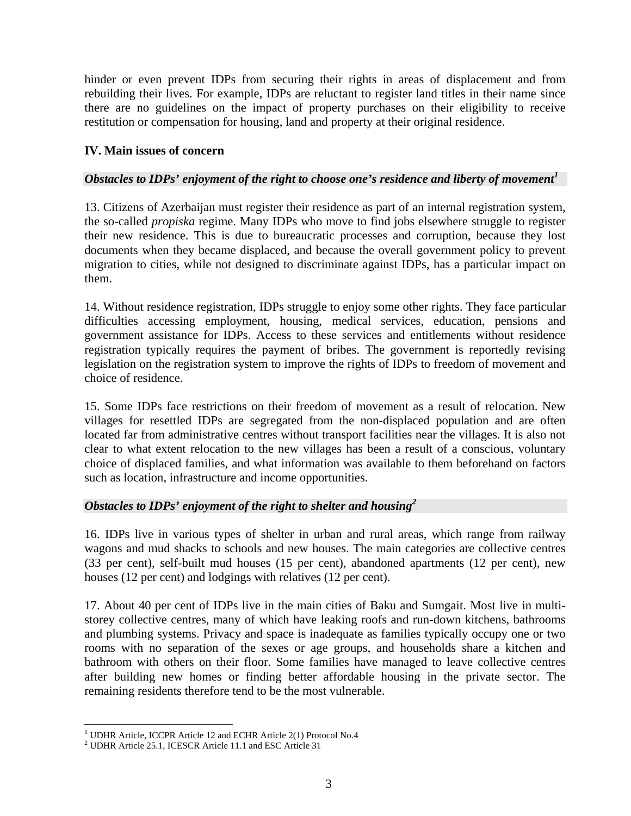hinder or even prevent IDPs from securing their rights in areas of displacement and from rebuilding their lives. For example, IDPs are reluctant to register land titles in their name since there are no guidelines on the impact of property purchases on their eligibility to receive restitution or compensation for housing, land and property at their original residence.

## **IV. Main issues of concern**

#### *Obstacles to IDPs' enjoyment of the right to choose one's residence and liberty of movement<sup>1</sup>*

13. Citizens of Azerbaijan must register their residence as part of an internal registration system, the so-called *propiska* regime. Many IDPs who move to find jobs elsewhere struggle to register their new residence. This is due to bureaucratic processes and corruption, because they lost documents when they became displaced, and because the overall government policy to prevent migration to cities, while not designed to discriminate against IDPs, has a particular impact on them.

14. Without residence registration, IDPs struggle to enjoy some other rights. They face particular difficulties accessing employment, housing, medical services, education, pensions and government assistance for IDPs. Access to these services and entitlements without residence registration typically requires the payment of bribes. The government is reportedly revising legislation on the registration system to improve the rights of IDPs to freedom of movement and choice of residence.

15. Some IDPs face restrictions on their freedom of movement as a result of relocation. New villages for resettled IDPs are segregated from the non-displaced population and are often located far from administrative centres without transport facilities near the villages. It is also not clear to what extent relocation to the new villages has been a result of a conscious, voluntary choice of displaced families, and what information was available to them beforehand on factors such as location, infrastructure and income opportunities.

#### *Obstacles to IDPs' enjoyment of the right to shelter and housing2*

16. IDPs live in various types of shelter in urban and rural areas, which range from railway wagons and mud shacks to schools and new houses. The main categories are collective centres (33 per cent), self-built mud houses (15 per cent), abandoned apartments (12 per cent), new houses (12 per cent) and lodgings with relatives (12 per cent).

17. About 40 per cent of IDPs live in the main cities of Baku and Sumgait. Most live in multistorey collective centres, many of which have leaking roofs and run-down kitchens, bathrooms and plumbing systems. Privacy and space is inadequate as families typically occupy one or two rooms with no separation of the sexes or age groups, and households share a kitchen and bathroom with others on their floor. Some families have managed to leave collective centres after building new homes or finding better affordable housing in the private sector. The remaining residents therefore tend to be the most vulnerable.

<sup>&</sup>lt;u>.</u> <sup>1</sup> UDHR Article, ICCPR Article 12 and ECHR Article 2(1) Protocol No.4<br><sup>2</sup> UDHR Article 25.1 ICESCR Article 11.1 and ESC Article 21

 $2$  UDHR Article 25.1, ICESCR Article 11.1 and ESC Article 31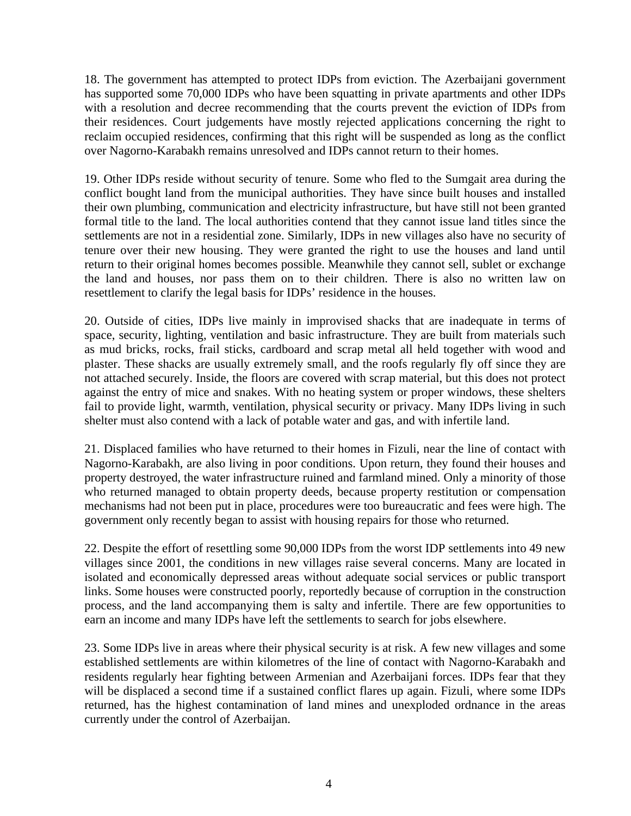18. The government has attempted to protect IDPs from eviction. The Azerbaijani government has supported some 70,000 IDPs who have been squatting in private apartments and other IDPs with a resolution and decree recommending that the courts prevent the eviction of IDPs from their residences. Court judgements have mostly rejected applications concerning the right to reclaim occupied residences, confirming that this right will be suspended as long as the conflict over Nagorno-Karabakh remains unresolved and IDPs cannot return to their homes.

19. Other IDPs reside without security of tenure. Some who fled to the Sumgait area during the conflict bought land from the municipal authorities. They have since built houses and installed their own plumbing, communication and electricity infrastructure, but have still not been granted formal title to the land. The local authorities contend that they cannot issue land titles since the settlements are not in a residential zone. Similarly, IDPs in new villages also have no security of tenure over their new housing. They were granted the right to use the houses and land until return to their original homes becomes possible. Meanwhile they cannot sell, sublet or exchange the land and houses, nor pass them on to their children. There is also no written law on resettlement to clarify the legal basis for IDPs' residence in the houses.

20. Outside of cities, IDPs live mainly in improvised shacks that are inadequate in terms of space, security, lighting, ventilation and basic infrastructure. They are built from materials such as mud bricks, rocks, frail sticks, cardboard and scrap metal all held together with wood and plaster. These shacks are usually extremely small, and the roofs regularly fly off since they are not attached securely. Inside, the floors are covered with scrap material, but this does not protect against the entry of mice and snakes. With no heating system or proper windows, these shelters fail to provide light, warmth, ventilation, physical security or privacy. Many IDPs living in such shelter must also contend with a lack of potable water and gas, and with infertile land.

21. Displaced families who have returned to their homes in Fizuli, near the line of contact with Nagorno-Karabakh, are also living in poor conditions. Upon return, they found their houses and property destroyed, the water infrastructure ruined and farmland mined. Only a minority of those who returned managed to obtain property deeds, because property restitution or compensation mechanisms had not been put in place, procedures were too bureaucratic and fees were high. The government only recently began to assist with housing repairs for those who returned.

22. Despite the effort of resettling some 90,000 IDPs from the worst IDP settlements into 49 new villages since 2001, the conditions in new villages raise several concerns. Many are located in isolated and economically depressed areas without adequate social services or public transport links. Some houses were constructed poorly, reportedly because of corruption in the construction process, and the land accompanying them is salty and infertile. There are few opportunities to earn an income and many IDPs have left the settlements to search for jobs elsewhere.

23. Some IDPs live in areas where their physical security is at risk. A few new villages and some established settlements are within kilometres of the line of contact with Nagorno-Karabakh and residents regularly hear fighting between Armenian and Azerbaijani forces. IDPs fear that they will be displaced a second time if a sustained conflict flares up again. Fizuli, where some IDPs returned, has the highest contamination of land mines and unexploded ordnance in the areas currently under the control of Azerbaijan.